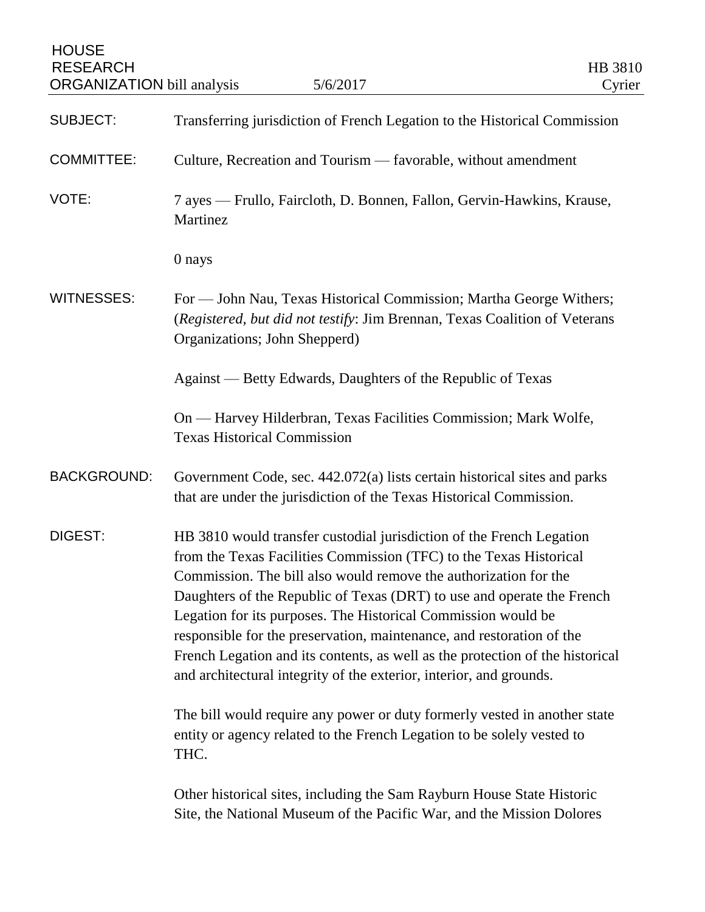| <b>HOUSE</b><br><b>RESEARCH</b><br><b>ORGANIZATION</b> bill analysis | 5/6/2017                                                                                                                                                                                                                                                                                                                                                                                                                                                                                                                                                                                   | HB 3810<br>Cyrier |
|----------------------------------------------------------------------|--------------------------------------------------------------------------------------------------------------------------------------------------------------------------------------------------------------------------------------------------------------------------------------------------------------------------------------------------------------------------------------------------------------------------------------------------------------------------------------------------------------------------------------------------------------------------------------------|-------------------|
| <b>SUBJECT:</b>                                                      | Transferring jurisdiction of French Legation to the Historical Commission                                                                                                                                                                                                                                                                                                                                                                                                                                                                                                                  |                   |
| <b>COMMITTEE:</b>                                                    | Culture, Recreation and Tourism — favorable, without amendment                                                                                                                                                                                                                                                                                                                                                                                                                                                                                                                             |                   |
| VOTE:                                                                | 7 ayes — Frullo, Faircloth, D. Bonnen, Fallon, Gervin-Hawkins, Krause,<br>Martinez                                                                                                                                                                                                                                                                                                                                                                                                                                                                                                         |                   |
|                                                                      | 0 nays                                                                                                                                                                                                                                                                                                                                                                                                                                                                                                                                                                                     |                   |
| <b>WITNESSES:</b>                                                    | For — John Nau, Texas Historical Commission; Martha George Withers;<br>(Registered, but did not testify: Jim Brennan, Texas Coalition of Veterans<br>Organizations; John Shepperd)                                                                                                                                                                                                                                                                                                                                                                                                         |                   |
|                                                                      | Against — Betty Edwards, Daughters of the Republic of Texas                                                                                                                                                                                                                                                                                                                                                                                                                                                                                                                                |                   |
|                                                                      | On — Harvey Hilderbran, Texas Facilities Commission; Mark Wolfe,<br><b>Texas Historical Commission</b>                                                                                                                                                                                                                                                                                                                                                                                                                                                                                     |                   |
| <b>BACKGROUND:</b>                                                   | Government Code, sec. 442.072(a) lists certain historical sites and parks<br>that are under the jurisdiction of the Texas Historical Commission.                                                                                                                                                                                                                                                                                                                                                                                                                                           |                   |
| <b>DIGEST:</b>                                                       | HB 3810 would transfer custodial jurisdiction of the French Legation<br>from the Texas Facilities Commission (TFC) to the Texas Historical<br>Commission. The bill also would remove the authorization for the<br>Daughters of the Republic of Texas (DRT) to use and operate the French<br>Legation for its purposes. The Historical Commission would be<br>responsible for the preservation, maintenance, and restoration of the<br>French Legation and its contents, as well as the protection of the historical<br>and architectural integrity of the exterior, interior, and grounds. |                   |
|                                                                      | The bill would require any power or duty formerly vested in another state<br>entity or agency related to the French Legation to be solely vested to<br>THC.                                                                                                                                                                                                                                                                                                                                                                                                                                |                   |
|                                                                      | Other historical sites, including the Sam Rayburn House State Historic<br>Site, the National Museum of the Pacific War, and the Mission Dolores                                                                                                                                                                                                                                                                                                                                                                                                                                            |                   |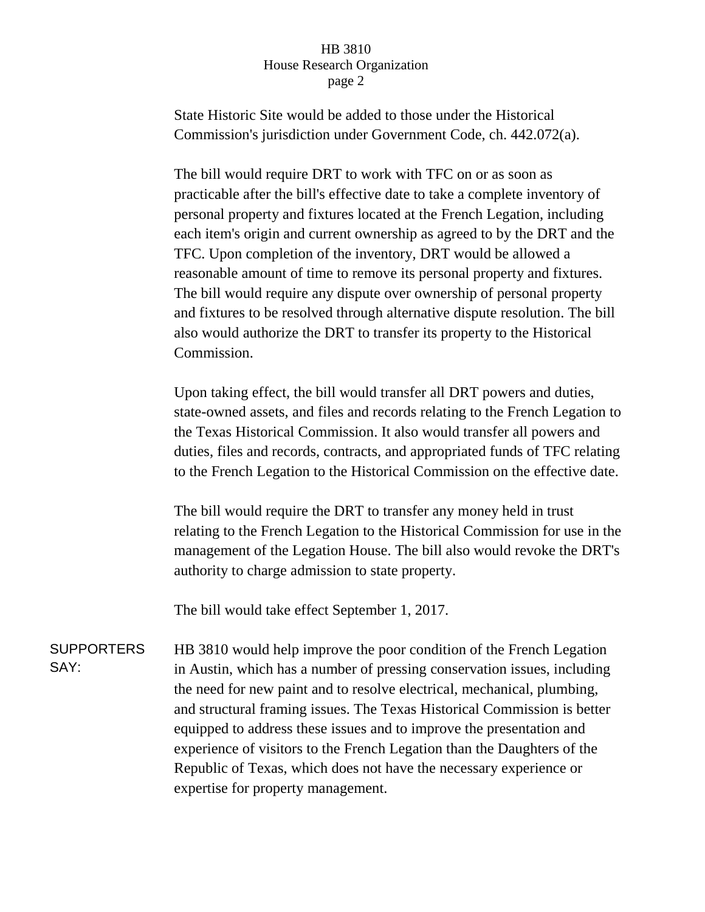## HB 3810 House Research Organization page 2

State Historic Site would be added to those under the Historical Commission's jurisdiction under Government Code, ch. 442.072(a).

The bill would require DRT to work with TFC on or as soon as practicable after the bill's effective date to take a complete inventory of personal property and fixtures located at the French Legation, including each item's origin and current ownership as agreed to by the DRT and the TFC. Upon completion of the inventory, DRT would be allowed a reasonable amount of time to remove its personal property and fixtures. The bill would require any dispute over ownership of personal property and fixtures to be resolved through alternative dispute resolution. The bill also would authorize the DRT to transfer its property to the Historical Commission.

Upon taking effect, the bill would transfer all DRT powers and duties, state-owned assets, and files and records relating to the French Legation to the Texas Historical Commission. It also would transfer all powers and duties, files and records, contracts, and appropriated funds of TFC relating to the French Legation to the Historical Commission on the effective date.

The bill would require the DRT to transfer any money held in trust relating to the French Legation to the Historical Commission for use in the management of the Legation House. The bill also would revoke the DRT's authority to charge admission to state property.

The bill would take effect September 1, 2017.

SUPPORTERS SAY: HB 3810 would help improve the poor condition of the French Legation in Austin, which has a number of pressing conservation issues, including the need for new paint and to resolve electrical, mechanical, plumbing, and structural framing issues. The Texas Historical Commission is better equipped to address these issues and to improve the presentation and experience of visitors to the French Legation than the Daughters of the Republic of Texas, which does not have the necessary experience or expertise for property management.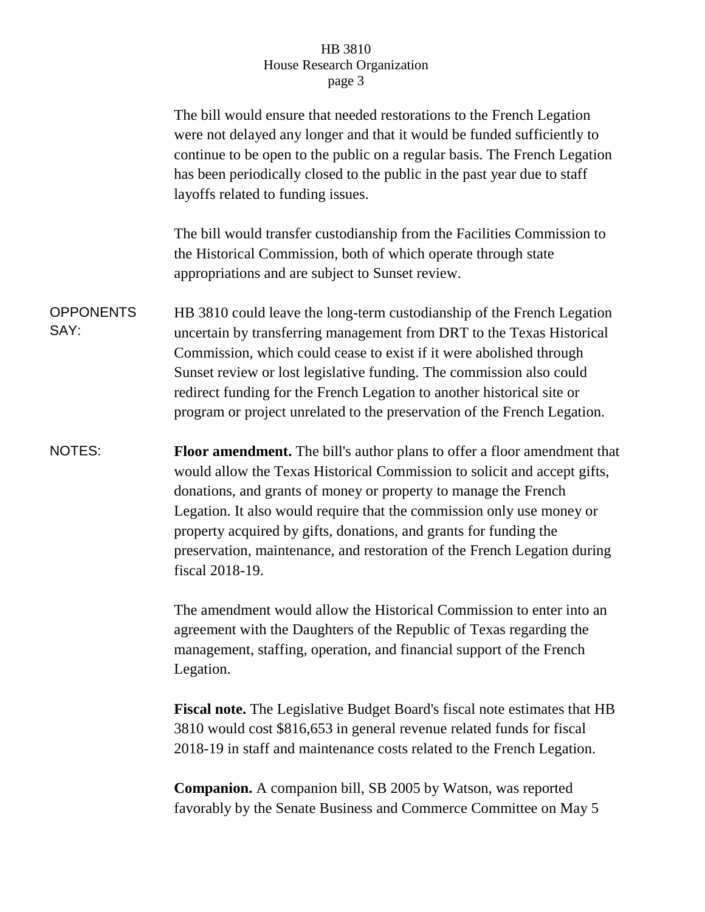## HB 3810 House Research Organization page 3

|                          | The bill would ensure that needed restorations to the French Legation<br>were not delayed any longer and that it would be funded sufficiently to<br>continue to be open to the public on a regular basis. The French Legation<br>has been periodically closed to the public in the past year due to staff<br>layoffs related to funding issues.                                                                                                                             |
|--------------------------|-----------------------------------------------------------------------------------------------------------------------------------------------------------------------------------------------------------------------------------------------------------------------------------------------------------------------------------------------------------------------------------------------------------------------------------------------------------------------------|
|                          | The bill would transfer custodianship from the Facilities Commission to<br>the Historical Commission, both of which operate through state<br>appropriations and are subject to Sunset review.                                                                                                                                                                                                                                                                               |
| <b>OPPONENTS</b><br>SAY: | HB 3810 could leave the long-term custodianship of the French Legation<br>uncertain by transferring management from DRT to the Texas Historical<br>Commission, which could cease to exist if it were abolished through<br>Sunset review or lost legislative funding. The commission also could<br>redirect funding for the French Legation to another historical site or<br>program or project unrelated to the preservation of the French Legation.                        |
| NOTES:                   | <b>Floor amendment.</b> The bill's author plans to offer a floor amendment that<br>would allow the Texas Historical Commission to solicit and accept gifts,<br>donations, and grants of money or property to manage the French<br>Legation. It also would require that the commission only use money or<br>property acquired by gifts, donations, and grants for funding the<br>preservation, maintenance, and restoration of the French Legation during<br>fiscal 2018-19. |
|                          | The amendment would allow the Historical Commission to enter into an<br>agreement with the Daughters of the Republic of Texas regarding the<br>management, staffing, operation, and financial support of the French<br>Legation.                                                                                                                                                                                                                                            |
|                          | Fiscal note. The Legislative Budget Board's fiscal note estimates that HB<br>3810 would cost \$816,653 in general revenue related funds for fiscal<br>2018-19 in staff and maintenance costs related to the French Legation.                                                                                                                                                                                                                                                |
|                          | <b>Companion.</b> A companion bill, SB 2005 by Watson, was reported<br>favorably by the Senate Business and Commerce Committee on May 5                                                                                                                                                                                                                                                                                                                                     |